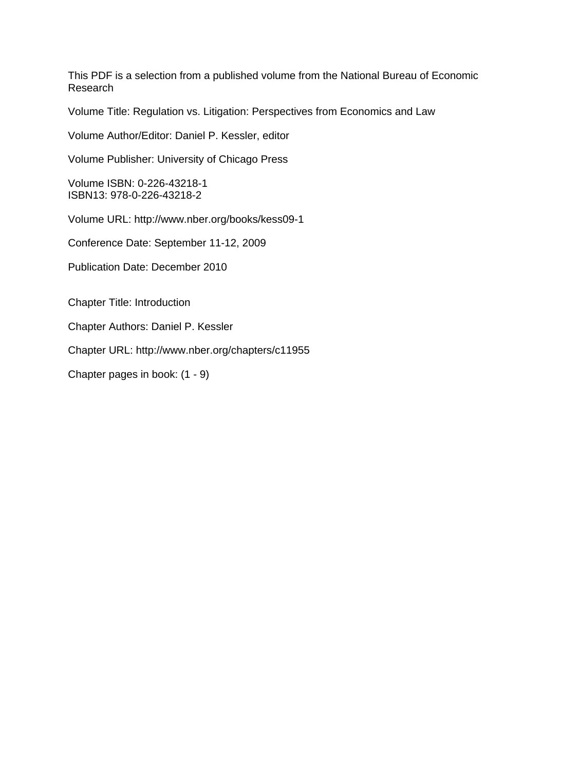This PDF is a selection from a published volume from the National Bureau of Economic Research

Volume Title: Regulation vs. Litigation: Perspectives from Economics and Law

Volume Author/Editor: Daniel P. Kessler, editor

Volume Publisher: University of Chicago Press

Volume ISBN: 0-226-43218-1 ISBN13: 978-0-226-43218-2

Volume URL: http://www.nber.org/books/kess09-1

Conference Date: September 11-12, 2009

Publication Date: December 2010

Chapter Title: Introduction

Chapter Authors: Daniel P. Kessler

Chapter URL: http://www.nber.org/chapters/c11955

Chapter pages in book: (1 - 9)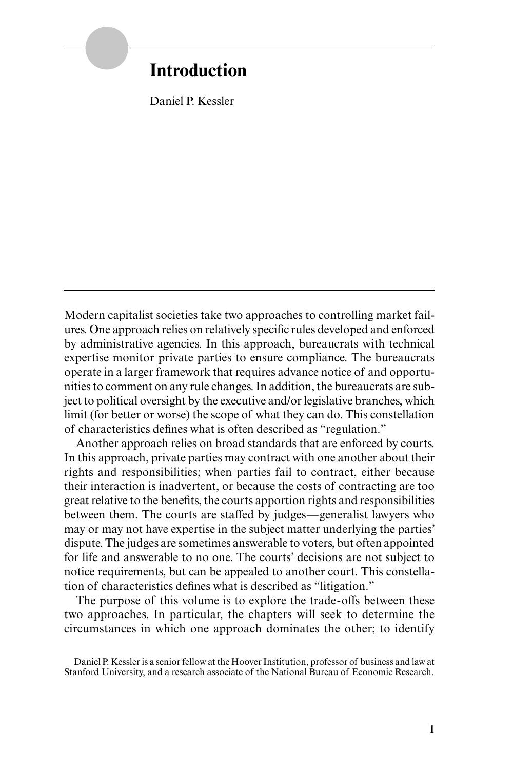## **Introduction**

Daniel P. Kessler

Modern capitalist societies take two approaches to controlling market failures. One approach relies on relatively specific rules developed and enforced by administrative agencies. In this approach, bureaucrats with technical expertise monitor private parties to ensure compliance. The bureaucrats operate in a larger framework that requires advance notice of and opportunities to comment on any rule changes. In addition, the bureaucrats are subject to political oversight by the executive and/or legislative branches, which limit (for better or worse) the scope of what they can do. This constellation of characteristics defines what is often described as "regulation."

Another approach relies on broad standards that are enforced by courts. In this approach, private parties may contract with one another about their rights and responsibilities; when parties fail to contract, either because their interaction is inadvertent, or because the costs of contracting are too great relative to the benefits, the courts apportion rights and responsibilities between them. The courts are staffed by judges—generalist lawyers who may or may not have expertise in the subject matter underlying the parties' dispute. The judges are sometimes answerable to voters, but often appointed for life and answerable to no one. The courts' decisions are not subject to notice requirements, but can be appealed to another court. This constellation of characteristics defines what is described as "litigation."

The purpose of this volume is to explore the trade- offs between these two approaches. In particular, the chapters will seek to determine the circumstances in which one approach dominates the other; to identify

Daniel P. Kessler is a senior fellow at the Hoover Institution, professor of business and law at Stanford University, and a research associate of the National Bureau of Economic Research.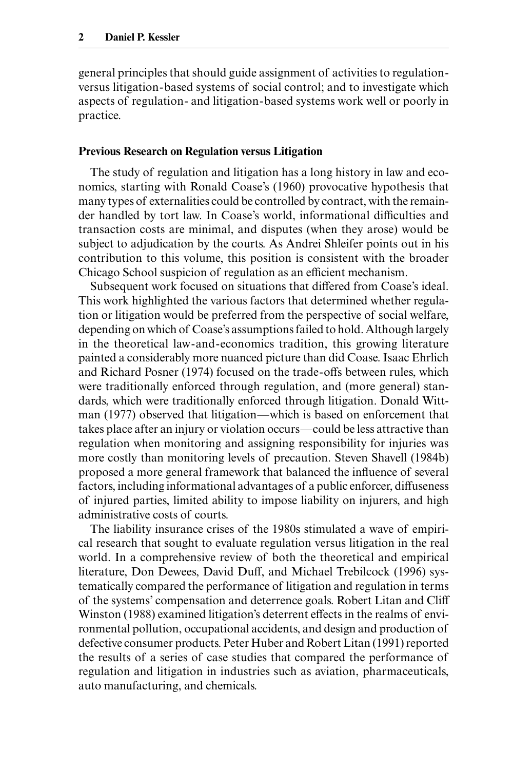general principles that should guide assignment of activities to regulation versus litigation- based systems of social control; and to investigate which aspects of regulation- and litigation- based systems work well or poorly in practice.

## **Previous Research on Regulation versus Litigation**

The study of regulation and litigation has a long history in law and economics, starting with Ronald Coase's (1960) provocative hypothesis that many types of externalities could be controlled by contract, with the remainder handled by tort law. In Coase's world, informational difficulties and transaction costs are minimal, and disputes (when they arose) would be subject to adjudication by the courts. As Andrei Shleifer points out in his contribution to this volume, this position is consistent with the broader Chicago School suspicion of regulation as an efficient mechanism.

Subsequent work focused on situations that differed from Coase's ideal. This work highlighted the various factors that determined whether regulation or litigation would be preferred from the perspective of social welfare, depending on which of Coase's assumptions failed to hold. Although largely in the theoretical law- and- economics tradition, this growing literature painted a considerably more nuanced picture than did Coase. Isaac Ehrlich and Richard Posner (1974) focused on the trade- offs between rules, which were traditionally enforced through regulation, and (more general) standards, which were traditionally enforced through litigation. Donald Wittman (1977) observed that litigation—which is based on enforcement that takes place after an injury or violation occurs—could be less attractive than regulation when monitoring and assigning responsibility for injuries was more costly than monitoring levels of precaution. Steven Shavell (1984b) proposed a more general framework that balanced the influence of several factors, including informational advantages of a public enforcer, diffuseness of injured parties, limited ability to impose liability on injurers, and high administrative costs of courts.

The liability insurance crises of the 1980s stimulated a wave of empirical research that sought to evaluate regulation versus litigation in the real world. In a comprehensive review of both the theoretical and empirical literature, Don Dewees, David Duff, and Michael Trebilcock (1996) systematically compared the performance of litigation and regulation in terms of the systems' compensation and deterrence goals. Robert Litan and Cliff Winston (1988) examined litigation's deterrent effects in the realms of environmental pollution, occupational accidents, and design and production of defective consumer products. Peter Huber and Robert Litan (1991) reported the results of a series of case studies that compared the performance of regulation and litigation in industries such as aviation, pharmaceuticals, auto manufacturing, and chemicals.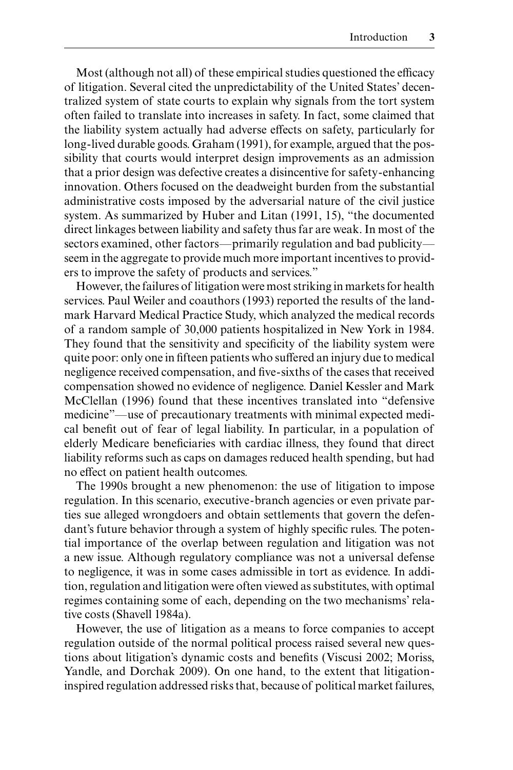Most (although not all) of these empirical studies questioned the efficacy of litigation. Several cited the unpredictability of the United States' decentralized system of state courts to explain why signals from the tort system often failed to translate into increases in safety. In fact, some claimed that the liability system actually had adverse effects on safety, particularly for long- lived durable goods. Graham (1991), for example, argued that the possibility that courts would interpret design improvements as an admission that a prior design was defective creates a disincentive for safety- enhancing innovation. Others focused on the deadweight burden from the substantial administrative costs imposed by the adversarial nature of the civil justice system. As summarized by Huber and Litan (1991, 15), "the documented direct linkages between liability and safety thus far are weak. In most of the sectors examined, other factors—primarily regulation and bad publicity seem in the aggregate to provide much more important incentives to providers to improve the safety of products and services."

However, the failures of litigation were most striking in markets for health services. Paul Weiler and coauthors (1993) reported the results of the landmark Harvard Medical Practice Study, which analyzed the medical records of a random sample of 30,000 patients hospitalized in New York in 1984. They found that the sensitivity and specificity of the liability system were quite poor: only one in fifteen patients who suffered an injury due to medical negligence received compensation, and five-sixths of the cases that received compensation showed no evidence of negligence. Daniel Kessler and Mark McClellan (1996) found that these incentives translated into "defensive medicine"—use of precautionary treatments with minimal expected medical benefit out of fear of legal liability. In particular, in a population of elderly Medicare beneficiaries with cardiac illness, they found that direct liability reforms such as caps on damages reduced health spending, but had no effect on patient health outcomes.

The 1990s brought a new phenomenon: the use of litigation to impose regulation. In this scenario, executive- branch agencies or even private parties sue alleged wrongdoers and obtain settlements that govern the defendant's future behavior through a system of highly specific rules. The potential importance of the overlap between regulation and litigation was not a new issue. Although regulatory compliance was not a universal defense to negligence, it was in some cases admissible in tort as evidence. In addition, regulation and litigation were often viewed as substitutes, with optimal regimes containing some of each, depending on the two mechanisms' relative costs (Shavell 1984a).

However, the use of litigation as a means to force companies to accept regulation outside of the normal political process raised several new questions about litigation's dynamic costs and benefits (Viscusi 2002; Moriss, Yandle, and Dorchak 2009). On one hand, to the extent that litigation inspired regulation addressed risks that, because of political market failures,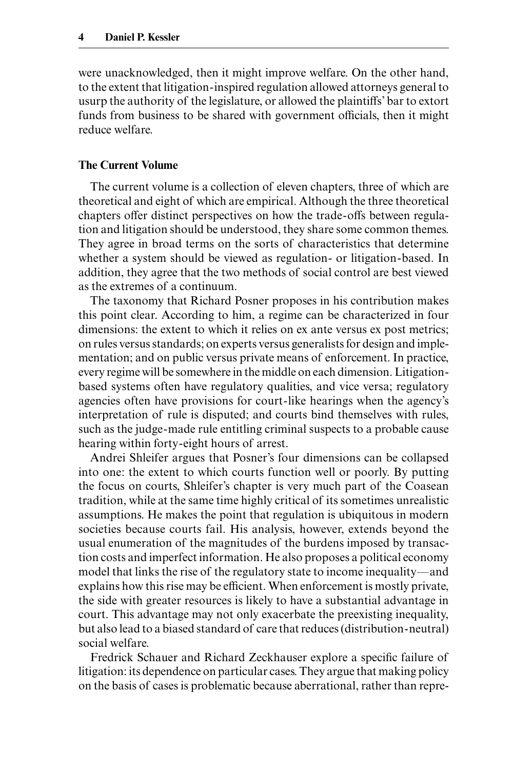were unacknowledged, then it might improve welfare. On the other hand, to the extent that litigation- inspired regulation allowed attorneys general to usurp the authority of the legislature, or allowed the plaintiffs' bar to extort funds from business to be shared with government officials, then it might reduce welfare.

## **The Current Volume**

The current volume is a collection of eleven chapters, three of which are theoretical and eight of which are empirical. Although the three theoretical chapters offer distinct perspectives on how the trade- offs between regulation and litigation should be understood, they share some common themes. They agree in broad terms on the sorts of characteristics that determine whether a system should be viewed as regulation- or litigation- based. In addition, they agree that the two methods of social control are best viewed as the extremes of a continuum.

The taxonomy that Richard Posner proposes in his contribution makes this point clear. According to him, a regime can be characterized in four dimensions: the extent to which it relies on ex ante versus ex post metrics; on rules versus standards; on experts versus generalists for design and implementation; and on public versus private means of enforcement. In practice, every regime will be somewhere in the middle on each dimension. Litigation based systems often have regulatory qualities, and vice versa; regulatory agencies often have provisions for court- like hearings when the agency's interpretation of rule is disputed; and courts bind themselves with rules, such as the judge- made rule entitling criminal suspects to a probable cause hearing within forty- eight hours of arrest.

Andrei Shleifer argues that Posner's four dimensions can be collapsed into one: the extent to which courts function well or poorly. By putting the focus on courts, Shleifer's chapter is very much part of the Coasean tradition, while at the same time highly critical of its sometimes unrealistic assumptions. He makes the point that regulation is ubiquitous in modern societies because courts fail. His analysis, however, extends beyond the usual enumeration of the magnitudes of the burdens imposed by transaction costs and imperfect information. He also proposes a political economy model that links the rise of the regulatory state to income inequality—and explains how this rise may be efficient. When enforcement is mostly private, the side with greater resources is likely to have a substantial advantage in court. This advantage may not only exacerbate the preexisting inequality, but also lead to a biased standard of care that reduces (distribution- neutral) social welfare.

Fredrick Schauer and Richard Zeckhauser explore a specific failure of litigation: its dependence on particular cases. They argue that making policy on the basis of cases is problematic because aberrational, rather than repre-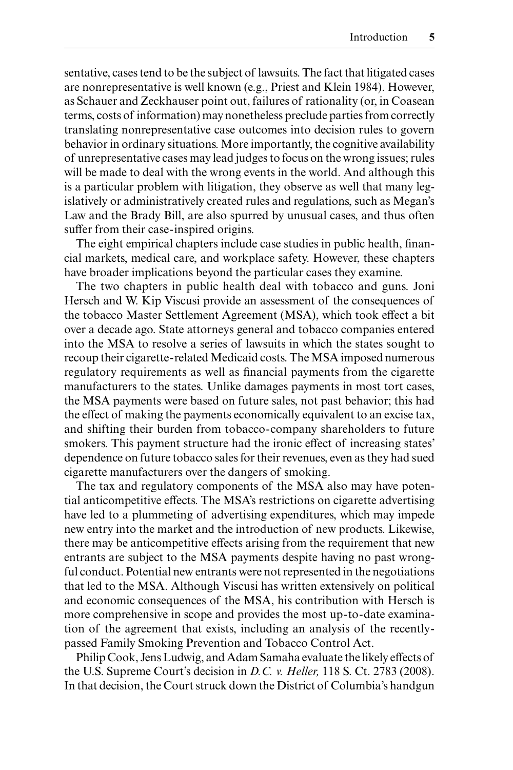sentative, cases tend to be the subject of lawsuits. The fact that litigated cases are nonrepresentative is well known (e.g., Priest and Klein 1984). However, as Schauer and Zeckhauser point out, failures of rationality (or, in Coasean terms, costs of information) may nonetheless preclude parties from correctly translating nonrepresentative case outcomes into decision rules to govern behavior in ordinary situations. More importantly, the cognitive availability of unrepresentative cases may lead judges to focus on the wrong issues; rules will be made to deal with the wrong events in the world. And although this is a particular problem with litigation, they observe as well that many legislatively or administratively created rules and regulations, such as Megan's Law and the Brady Bill, are also spurred by unusual cases, and thus often suffer from their case-inspired origins.

The eight empirical chapters include case studies in public health, financial markets, medical care, and workplace safety. However, these chapters have broader implications beyond the particular cases they examine.

The two chapters in public health deal with tobacco and guns. Joni Hersch and W. Kip Viscusi provide an assessment of the consequences of the tobacco Master Settlement Agreement (MSA), which took effect a bit over a decade ago. State attorneys general and tobacco companies entered into the MSA to resolve a series of lawsuits in which the states sought to recoup their cigarette- related Medicaid costs. The MSA imposed numerous regulatory requirements as well as financial payments from the cigarette manufacturers to the states. Unlike damages payments in most tort cases, the MSA payments were based on future sales, not past behavior; this had the effect of making the payments economically equivalent to an excise tax, and shifting their burden from tobacco- company shareholders to future smokers. This payment structure had the ironic effect of increasing states' dependence on future tobacco sales for their revenues, even as they had sued cigarette manufacturers over the dangers of smoking.

The tax and regulatory components of the MSA also may have potential anticompetitive effects. The MSA's restrictions on cigarette advertising have led to a plummeting of advertising expenditures, which may impede new entry into the market and the introduction of new products. Likewise, there may be anticompetitive effects arising from the requirement that new entrants are subject to the MSA payments despite having no past wrongful conduct. Potential new entrants were not represented in the negotiations that led to the MSA. Although Viscusi has written extensively on political and economic consequences of the MSA, his contribution with Hersch is more comprehensive in scope and provides the most up-to-date examination of the agreement that exists, including an analysis of the recently passed Family Smoking Prevention and Tobacco Control Act.

Philip Cook, Jens Ludwig, and Adam Samaha evaluate the likely effects of the U.S. Supreme Court's decision in *D.C. v. Heller,* 118 S. Ct. 2783 (2008). In that decision, the Court struck down the District of Columbia's handgun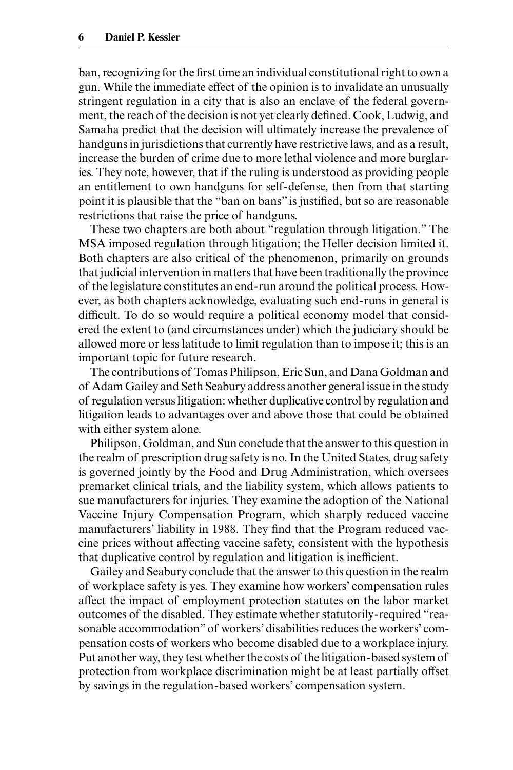ban, recognizing for the first time an individual constitutional right to own a gun. While the immediate effect of the opinion is to invalidate an unusually stringent regulation in a city that is also an enclave of the federal government, the reach of the decision is not yet clearly defined. Cook, Ludwig, and Samaha predict that the decision will ultimately increase the prevalence of handguns in jurisdictions that currently have restrictive laws, and as a result, increase the burden of crime due to more lethal violence and more burglaries. They note, however, that if the ruling is understood as providing people an entitlement to own handguns for self- defense, then from that starting point it is plausible that the "ban on bans" is justified, but so are reasonable restrictions that raise the price of handguns.

These two chapters are both about "regulation through litigation." The MSA imposed regulation through litigation; the Heller decision limited it. Both chapters are also critical of the phenomenon, primarily on grounds that judicial intervention in matters that have been traditionally the province of the legislature constitutes an end- run around the political process. However, as both chapters acknowledge, evaluating such end- runs in general is difficult. To do so would require a political economy model that considered the extent to (and circumstances under) which the judiciary should be allowed more or less latitude to limit regulation than to impose it; this is an important topic for future research.

The contributions of Tomas Philipson, Eric Sun, and Dana Goldman and of Adam Gailey and Seth Seabury address another general issue in the study of regulation versus litigation: whether duplicative control by regulation and litigation leads to advantages over and above those that could be obtained with either system alone.

Philipson, Goldman, and Sun conclude that the answer to this question in the realm of prescription drug safety is no. In the United States, drug safety is governed jointly by the Food and Drug Administration, which oversees premarket clinical trials, and the liability system, which allows patients to sue manufacturers for injuries. They examine the adoption of the National Vaccine Injury Compensation Program, which sharply reduced vaccine manufacturers' liability in 1988. They find that the Program reduced vaccine prices without affecting vaccine safety, consistent with the hypothesis that duplicative control by regulation and litigation is inefficient.

Gailey and Seabury conclude that the answer to this question in the realm of workplace safety is yes. They examine how workers' compensation rules affect the impact of employment protection statutes on the labor market outcomes of the disabled. They estimate whether statutorily- required "reasonable accommodation" of workers' disabilities reduces the workers' compensation costs of workers who become disabled due to a workplace injury. Put another way, they test whether the costs of the litigation- based system of protection from workplace discrimination might be at least partially offset by savings in the regulation- based workers' compensation system.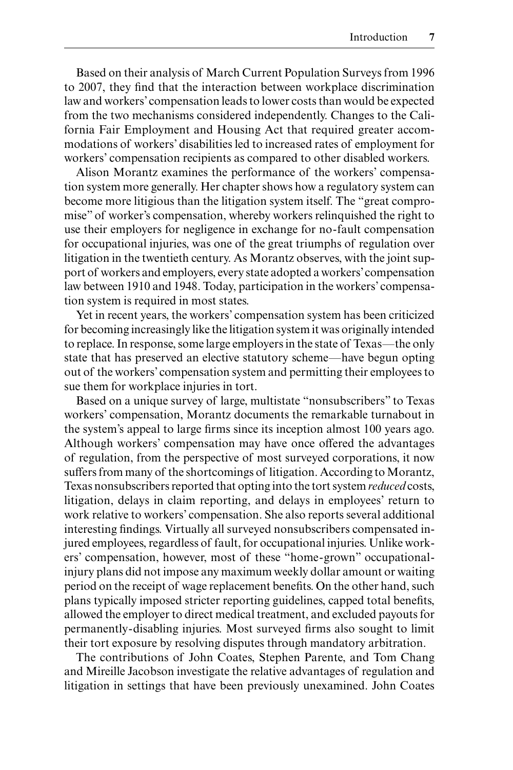Based on their analysis of March Current Population Surveys from 1996 to 2007, they find that the interaction between workplace discrimination law and workers' compensation leads to lower costs than would be expected from the two mechanisms considered independently. Changes to the California Fair Employment and Housing Act that required greater accommodations of workers' disabilities led to increased rates of employment for workers' compensation recipients as compared to other disabled workers.

Alison Morantz examines the performance of the workers' compensation system more generally. Her chapter shows how a regulatory system can become more litigious than the litigation system itself. The "great compromise" of worker's compensation, whereby workers relinquished the right to use their employers for negligence in exchange for no- fault compensation for occupational injuries, was one of the great triumphs of regulation over litigation in the twentieth century. As Morantz observes, with the joint support of workers and employers, every state adopted a workers' compensation law between 1910 and 1948. Today, participation in the workers' compensation system is required in most states.

Yet in recent years, the workers' compensation system has been criticized for becoming increasingly like the litigation system it was originally intended to replace. In response, some large employers in the state of Texas—the only state that has preserved an elective statutory scheme—have begun opting out of the workers' compensation system and permitting their employees to sue them for workplace injuries in tort.

Based on a unique survey of large, multistate "nonsubscribers" to Texas workers' compensation, Morantz documents the remarkable turnabout in the system's appeal to large firms since its inception almost 100 years ago. Although workers' compensation may have once offered the advantages of regulation, from the perspective of most surveyed corporations, it now suffers from many of the shortcomings of litigation. According to Morantz, Texas nonsubscribers reported that opting into the tort system *reduced* costs, litigation, delays in claim reporting, and delays in employees' return to work relative to workers' compensation. She also reports several additional interesting findings. Virtually all surveyed nonsubscribers compensated injured employees, regardless of fault, for occupational injuries. Unlike workers' compensation, however, most of these "home- grown" occupational injury plans did not impose any maximum weekly dollar amount or waiting period on the receipt of wage replacement benefits. On the other hand, such plans typically imposed stricter reporting guidelines, capped total benefits, allowed the employer to direct medical treatment, and excluded payouts for permanently-disabling injuries. Most surveyed firms also sought to limit their tort exposure by resolving disputes through mandatory arbitration.

The contributions of John Coates, Stephen Parente, and Tom Chang and Mireille Jacobson investigate the relative advantages of regulation and litigation in settings that have been previously unexamined. John Coates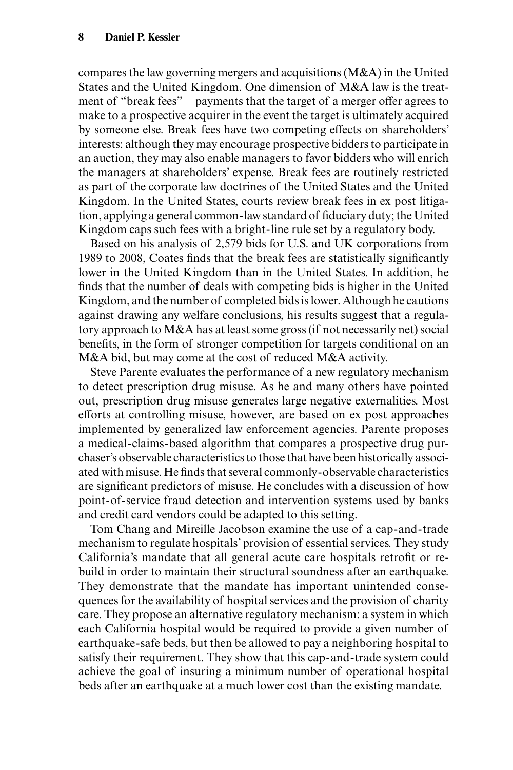compares the law governing mergers and acquisitions (M&A) in the United States and the United Kingdom. One dimension of M&A law is the treatment of "break fees"—payments that the target of a merger offer agrees to make to a prospective acquirer in the event the target is ultimately acquired by someone else. Break fees have two competing effects on shareholders' interests: although they may encourage prospective bidders to participate in an auction, they may also enable managers to favor bidders who will enrich the managers at shareholders' expense. Break fees are routinely restricted as part of the corporate law doctrines of the United States and the United Kingdom. In the United States, courts review break fees in ex post litigation, applying a general common-law standard of fiduciary duty; the United Kingdom caps such fees with a bright- line rule set by a regulatory body.

Based on his analysis of 2,579 bids for U.S. and UK corporations from 1989 to 2008, Coates finds that the break fees are statistically significantly lower in the United Kingdom than in the United States. In addition, he finds that the number of deals with competing bids is higher in the United Kingdom, and the number of completed bids is lower. Although he cautions against drawing any welfare conclusions, his results suggest that a regulatory approach to M&A has at least some gross (if not necessarily net) social benefits, in the form of stronger competition for targets conditional on an M&A bid, but may come at the cost of reduced M&A activity.

Steve Parente evaluates the performance of a new regulatory mechanism to detect prescription drug misuse. As he and many others have pointed out, prescription drug misuse generates large negative externalities. Most efforts at controlling misuse, however, are based on ex post approaches implemented by generalized law enforcement agencies. Parente proposes a medical- claims- based algorithm that compares a prospective drug purchaser's observable characteristics to those that have been historically associated with misuse. He finds that several commonly-observable characteristics are significant predictors of misuse. He concludes with a discussion of how point- of- service fraud detection and intervention systems used by banks and credit card vendors could be adapted to this setting.

Tom Chang and Mireille Jacobson examine the use of a cap-and-trade mechanism to regulate hospitals' provision of essential services. They study California's mandate that all general acute care hospitals retrofit or rebuild in order to maintain their structural soundness after an earthquake. They demonstrate that the mandate has important unintended consequences for the availability of hospital services and the provision of charity care. They propose an alternative regulatory mechanism: a system in which each California hospital would be required to provide a given number of earthquake- safe beds, but then be allowed to pay a neighboring hospital to satisfy their requirement. They show that this cap-and-trade system could achieve the goal of insuring a minimum number of operational hospital beds after an earthquake at a much lower cost than the existing mandate.